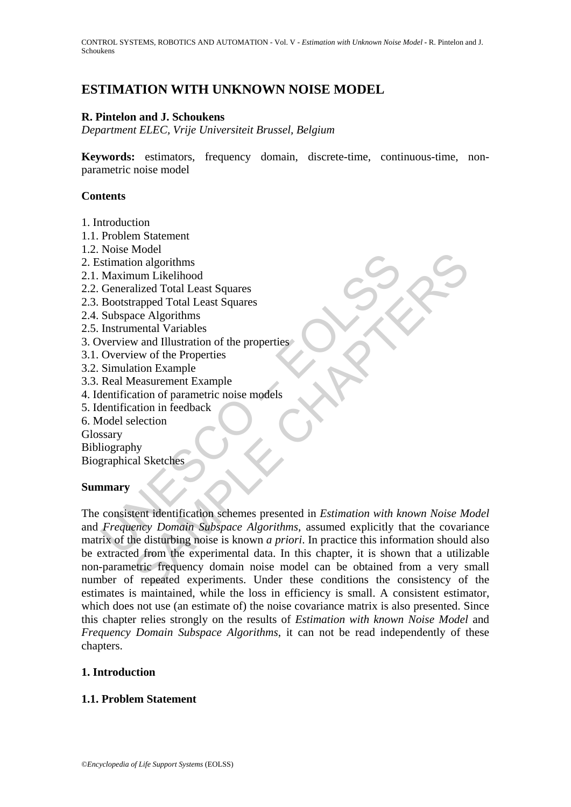# **ESTIMATION WITH UNKNOWN NOISE MODEL**

## **R. Pintelon and J. Schoukens**

*Department ELEC, Vrije Universiteit Brussel, Belgium* 

**Keywords:** estimators, frequency domain, discrete-time, continuous-time, nonparametric noise model

## **Contents**

- 1. Introduction
- 1.1. Problem Statement
- 1.2. Noise Model
- 2. Estimation algorithms
- 2.1. Maximum Likelihood
- 2.2. Generalized Total Least Squares
- 2.3. Bootstrapped Total Least Squares
- 2.4. Subspace Algorithms
- 2.5. Instrumental Variables
- 3. Overview and Illustration of the properties
- 3.1. Overview of the Properties
- 3.2. Simulation Example
- 3.3. Real Measurement Example
- 4. Identification of parametric noise models
- 5. Identification in feedback
- 6. Model selection

Glossary

Bibliography

Biographical Sketches

# **Summary**

France Model<br>
stimation algorithms<br>
Maximum Likelihood<br>
Generalized Total Least Squares<br>
Bootstrapped Total Least Squares<br>
Shobspace Algorithms<br>
Instrumental Variables<br>
Instrumental Variables<br>
Neverview of the Properties<br> From Controllering<br>
and algorithms<br>
on algorithms<br>
num Likelihood<br>
and Illustration of the properties<br>
area Algorithms<br>
mental Variables<br>
mental Variables<br>
mental Variables<br>
mental Variables<br>
detain in Eedback<br>
election<br>
o The consistent identification schemes presented in *Estimation with known Noise Model* and *Frequency Domain Subspace Algorithms*, assumed explicitly that the covariance matrix of the disturbing noise is known *a priori*. In practice this information should also be extracted from the experimental data. In this chapter, it is shown that a utilizable non-parametric frequency domain noise model can be obtained from a very small number of repeated experiments. Under these conditions the consistency of the estimates is maintained, while the loss in efficiency is small. A consistent estimator, which does not use (an estimate of) the noise covariance matrix is also presented. Since this chapter relies strongly on the results of *Estimation with known Noise Model* and *Frequency Domain Subspace Algorithms*, it can not be read independently of these chapters.

# **1. Introduction**

# **1.1. Problem Statement**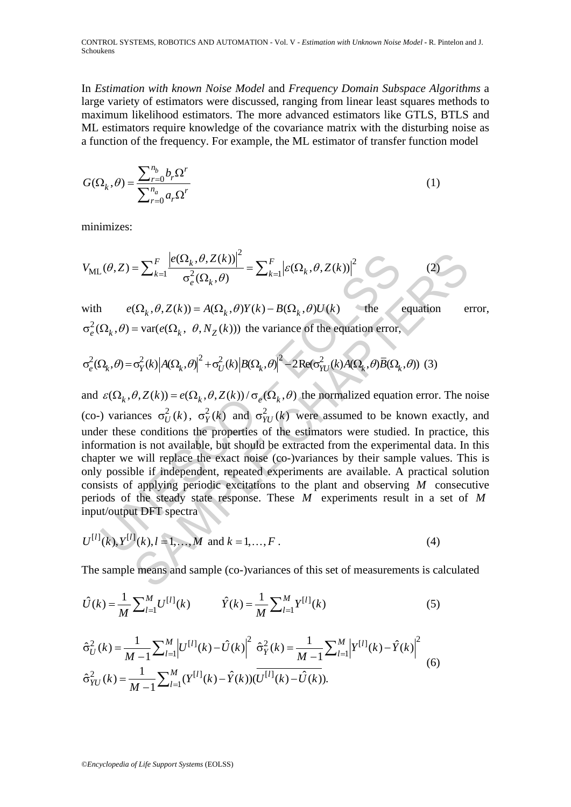CONTROL SYSTEMS, ROBOTICS AND AUTOMATION - Vol. V - *Estimation with Unknown Noise Model* **-** R. Pintelon and J. Schoukens

In *Estimation with known Noise Model* and *Frequency Domain Subspace Algorithms* a large variety of estimators were discussed, ranging from linear least squares methods to maximum likelihood estimators. The more advanced estimators like GTLS, BTLS and ML estimators require knowledge of the covariance matrix with the disturbing noise as a function of the frequency. For example, the ML estimator of transfer function model

$$
G(\Omega_k, \theta) = \frac{\sum_{r=0}^{n_b} b_r \Omega^r}{\sum_{r=0}^{n_a} a_r \Omega^r}
$$
 (1)

minimizes:

$$
V_{\text{ML}}(\theta, Z) = \sum_{k=1}^{F} \frac{\left| e(\Omega_k, \theta, Z(k)) \right|^2}{\sigma_e^2(\Omega_k, \theta)} = \sum_{k=1}^{F} \left| \varepsilon(\Omega_k, \theta, Z(k)) \right|^2 \tag{2}
$$

with  $e(\Omega_k, \theta, Z(k)) = A(\Omega_k, \theta)Y(k) - B(\Omega_k, \theta)U(k)$  the equation error,  $\sigma_{e}^{2}(\Omega_{k}, \theta) = \text{var}(e(\Omega_{k}, \theta, N_{Z}(k)))$  the variance of the equation error,

$$
\sigma_e^2(\Omega_k, \theta) = \sigma_Y^2(k) |A(\Omega_k, \theta)|^2 + \sigma_U^2(k) |B(\Omega_k, \theta)|^2 - 2\text{Re}(\sigma_{YU}^2(k)A(\Omega_k, \theta)\overline{B}(\Omega_k, \theta))
$$
(3)

 $(\theta, Z) = \sum_{k=1}^{F} \frac{\left|e(\Omega_k, \theta, Z(k))\right|^2}{\sigma_e^2(\Omega_k, \theta)} = \sum_{k=1}^{F} \left| \varepsilon(\Omega_k, \theta, Z(k)) \right|^2$ <br>  $e(\Omega_k, \theta, Z(k)) = A(\Omega_k, \theta)Y(k) - B(\Omega_k, \theta)U(k)$  the<br>  $\Omega_k, \theta) = \text{var}(e(\Omega_k, \theta, N_Z(k)))$  the variance of the equation error,<br>  $\Omega_k, \theta) = \sigma_Y^2(k) |A(\Omega_k, \theta)|^2 +$ =  $\sum_{k=1}^{F} \frac{|e(\Omega_k, \theta, Z(k))|^2}{\sigma_e^2(\Omega_k, \theta)} = \sum_{k=1}^{F} |e(\Omega_k, \theta, Z(k))|^2$  (2)<br>  $(\Omega_k, \theta, Z(k)) = A(\Omega_k, \theta)Y(k) - B(\Omega_k, \theta)U(k)$  the equation exactle  $(\Omega_k, \theta, N_Z(k))$  the variance of the equation error,<br>  $\sigma_Y^2(k) |A(\Omega_k, \theta)|^2 + \sigma_U^2(k) |B(\Omega_k, \theta)|^2$ and  $\varepsilon(\Omega_k, \theta, Z(k)) = e(\Omega_k, \theta, Z(k))/\sigma_e(\Omega_k, \theta)$  the normalized equation error. The noise (co-) variances  $\sigma_U^2(k)$ ,  $\sigma_Y^2(k)$  and  $\sigma_{YU}^2(k)$  were assumed to be known exactly, and under these conditions the properties of the estimators were studied. In practice, this information is not available, but should be extracted from the experimental data. In this chapter we will replace the exact noise (co-)variances by their sample values. This is only possible if independent, repeated experiments are available. A practical solution consists of applying periodic excitations to the plant and observing *M* consecutive periods of the steady state response. These *M* experiments result in a set of *M* input/output DFT spectra

$$
U^{[l]}(k), Y^{[l]}(k), l = 1, ..., M \text{ and } k = 1, ..., F.
$$
 (4)

The sample means and sample (co-)variances of this set of measurements is calculated

$$
\hat{U}(k) = \frac{1}{M} \sum_{l=1}^{M} U^{[l]}(k) \qquad \hat{Y}(k) = \frac{1}{M} \sum_{l=1}^{M} Y^{[l]}(k) \tag{5}
$$

$$
\hat{\sigma}_{U}^{2}(k) = \frac{1}{M-1} \sum_{l=1}^{M} \left| U^{[l]}(k) - \hat{U}(k) \right|^{2} \hat{\sigma}_{Y}^{2}(k) = \frac{1}{M-1} \sum_{l=1}^{M} \left| Y^{[l]}(k) - \hat{Y}(k) \right|^{2}
$$
\n
$$
\hat{\sigma}_{YU}^{2}(k) = \frac{1}{M-1} \sum_{l=1}^{M} (Y^{[l]}(k) - \hat{Y}(k)) (\overline{U^{[l]}(k) - \hat{U}(k)}).
$$
\n(6)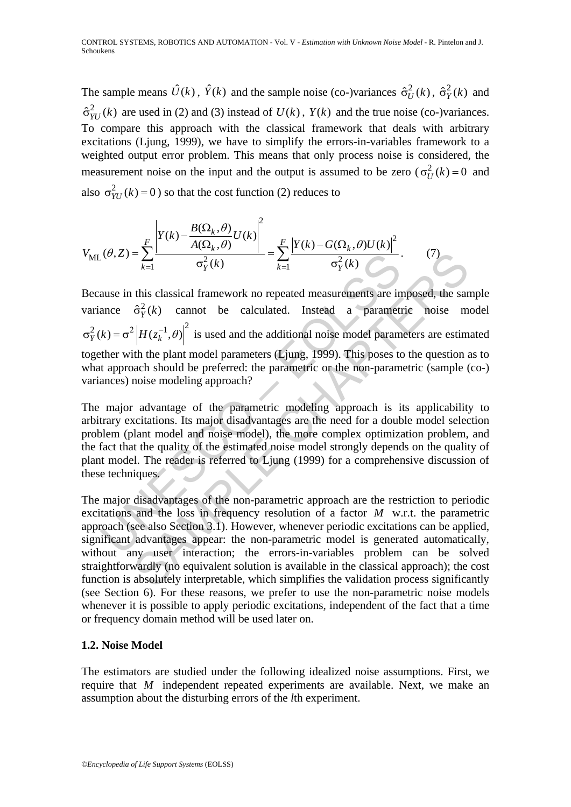The sample means  $\hat{U}(k)$ ,  $\hat{Y}(k)$  and the sample noise (co-)variances  $\hat{\sigma}_{U}^{2}(k)$ ,  $\hat{\sigma}_{Y}^{2}(k)$  and  $\hat{\sigma}_{YU}^2(k)$  are used in (2) and (3) instead of  $U(k)$ ,  $Y(k)$  and the true noise (co-)variances. To compare this approach with the classical framework that deals with arbitrary excitations (Ljung, 1999), we have to simplify the errors-in-variables framework to a weighted output error problem. This means that only process noise is considered, the measurement noise on the input and the output is assumed to be zero ( $\sigma_U^2(k) = 0$  and also  $\sigma_{YU}^2(k) = 0$ ) so that the cost function (2) reduces to

$$
V_{\text{ML}}(\theta, Z) = \sum_{k=1}^{F} \frac{\left| Y(k) - \frac{B(\Omega_k, \theta)}{A(\Omega_k, \theta)} U(k) \right|^2}{\sigma_Y^2(k)} = \sum_{k=1}^{F} \frac{\left| Y(k) - G(\Omega_k, \theta) U(k) \right|^2}{\sigma_Y^2(k)}.
$$
 (7)

 $(0, Z) = \sum_{k=1}^{N} \frac{1}{\sigma_Y^2(k)}$  =  $\sum_{k=1}^{N} \frac{1}{\sigma_Y^2(k)}$ <br>ause in this classical framework no repeated measurements are in<br>ance  $\hat{\sigma}_Y^2(k)$  cannot be calculated. Instead a parametr<br> $k = \sigma^2 |H(z_k^{-1}, \theta)|^2$  is used and the ad  $=\sum_{k=1}^{\infty} \frac{1}{\sigma_Y^2(k)} = \sum_{k=1}^{\infty} \frac{1}{\sigma_Y^2(k)}$ (1)<br>
this classical framework no repeated measurements are imposed, the sare<br>  $\hat{\sigma}_Y^2(k)$  cannot be calculated. Instead a parametric noise m<br>  $\hat{\sigma}_Y^2(k)$  cannot be cal Because in this classical framework no repeated measurements are imposed, the sample variance  $\hat{\sigma}_y^2(k)$  cannot be calculated. Instead a parametric noise model  $\sigma_Y^2(k) = \sigma^2 |H(z_k^{-1}, \theta)|^2$  is used and the additional noise model parameters are estimated together with the plant model parameters (Ljung, 1999). This poses to the question as to what approach should be preferred: the parametric or the non-parametric (sample (co-) variances) noise modeling approach?

The major advantage of the parametric modeling approach is its applicability to arbitrary excitations. Its major disadvantages are the need for a double model selection problem (plant model and noise model), the more complex optimization problem, and the fact that the quality of the estimated noise model strongly depends on the quality of plant model. The reader is referred to Ljung (1999) for a comprehensive discussion of these techniques.

The major disadvantages of the non-parametric approach are the restriction to periodic excitations and the loss in frequency resolution of a factor *M* w.r.t. the parametric approach (see also Section 3.1). However, whenever periodic excitations can be applied, significant advantages appear: the non-parametric model is generated automatically, without any user interaction; the errors-in-variables problem can be solved straightforwardly (no equivalent solution is available in the classical approach); the cost function is absolutely interpretable, which simplifies the validation process significantly (see Section 6). For these reasons, we prefer to use the non-parametric noise models whenever it is possible to apply periodic excitations, independent of the fact that a time or frequency domain method will be used later on.

# **1.2. Noise Model**

The estimators are studied under the following idealized noise assumptions. First, we require that *M* independent repeated experiments are available. Next, we make an assumption about the disturbing errors of the *l*th experiment.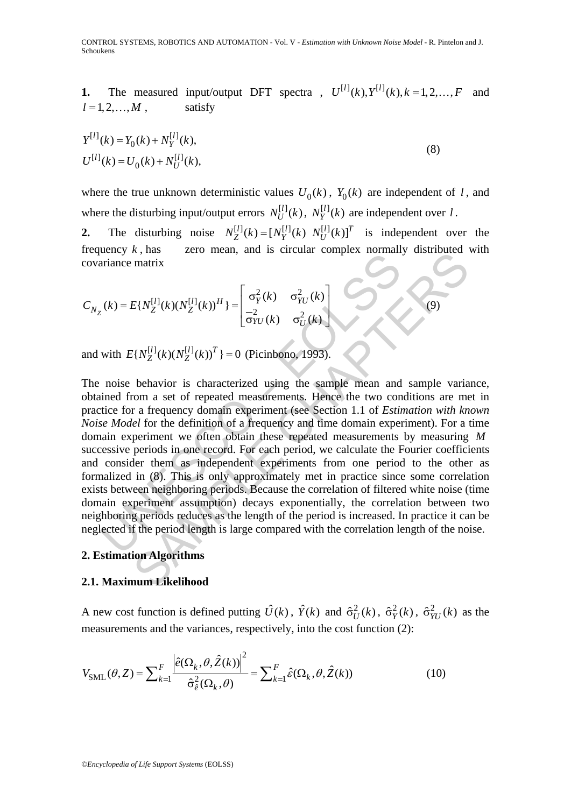**1.** The measured input/output DFT spectra ,  $U^{[l]}(k)$ ,  $Y^{[l]}(k)$ ,  $k = 1, 2, ..., F$  and  $l = 1, 2, \ldots, M$ , satisfy

$$
Y^{[l]}(k) = Y_0(k) + N_Y^{[l]}(k),
$$
  
\n
$$
U^{[l]}(k) = U_0(k) + N_U^{[l]}(k),
$$
\n(8)

where the true unknown deterministic values  $U_0(k)$ ,  $Y_0(k)$  are independent of *l*, and where the disturbing input/output errors  $N_U^{[l]}(k)$ ,  $N_V^{[l]}(k)$  are independent over *l*.

**2.** The disturbing noise  $N_Z^{[l]}(k) = [N_Y^{[l]}(k) N_U^{[l]}(k)]^T$  is independent over the frequency  $k$ , has zero mean, and is circular complex normally distributed with covariance matrix

$$
C_{N_Z}(k) = E\{N_Z^{[l]}(k)(N_Z^{[l]}(k))^H\} = \begin{bmatrix} \sigma_Y^2(k) & \sigma_{YU}^2(k) \\ -\frac{2}{\sigma_{YU}}(k) & \sigma_U^2(k) \end{bmatrix}
$$
(9)

and with  $E\{ N_Z^{[l]}(k) (N_Z^{[l]}(k))^T \} = 0$  (Picinbono, 1993).

 $(k) = E\{N_Z^{[I]}(k)(N_Z^{[I]}(k))^H\} = \begin{bmatrix} \sigma_Y^2(k) & \sigma_{YU}^2(k) \\ \frac{-2}{\sigma YU}(k) & \sigma_U^2(k) \end{bmatrix}$ <br>with  $E\{N_Z^{[I]}(k)(N_Z^{[I]}(k))^T\} = 0$  (Picinbono, 1993).<br>noise behavior is characterized using the sample mean and<br>ined from a set of repeated  $E[N_2^{[1]}(k)(N_2^{[1]}(k))^H] = \begin{bmatrix} \sigma_Y^2(k) & \sigma_{YU}^2(k) \\ \frac{2}{\sigma_{YU}}(k) & \sigma_U^2(k) \end{bmatrix}$ <br>  $E[N_2^{[1]}(k)(N_2^{[1]}(k))^T] = 0$  (Picinbono, 1993).<br>
behavior is characterized using the sample mean and sample variant om a set of repeated mea The noise behavior is characterized using the sample mean and sample variance, obtained from a set of repeated measurements. Hence the two conditions are met in practice for a frequency domain experiment (see Section 1.1 of *Estimation with known Noise Model* for the definition of a frequency and time domain experiment). For a time domain experiment we often obtain these repeated measurements by measuring *M* successive periods in one record. For each period, we calculate the Fourier coefficients and consider them as independent experiments from one period to the other as formalized in (8). This is only approximately met in practice since some correlation exists between neighboring periods. Because the correlation of filtered white noise (time domain experiment assumption) decays exponentially, the correlation between two neighboring periods reduces as the length of the period is increased. In practice it can be neglected if the period length is large compared with the correlation length of the noise.

### **2. Estimation Algorithms**

#### **2.1. Maximum Likelihood**

A new cost function is defined putting  $\hat{U}(k)$ ,  $\hat{Y}(k)$  and  $\hat{\sigma}_{U}^{2}(k)$ ,  $\hat{\sigma}_{V}(k)$ ,  $\hat{\sigma}_{VU}^{2}(k)$  as the measurements and the variances, respectively, into the cost function (2):

$$
V_{\text{SML}}(\theta, Z) = \sum_{k=1}^{F} \frac{\left| \hat{e}(\Omega_k, \theta, \hat{Z}(k)) \right|^2}{\hat{\sigma}_{\hat{e}}^2(\Omega_k, \theta)} = \sum_{k=1}^{F} \hat{e}(\Omega_k, \theta, \hat{Z}(k))
$$
(10)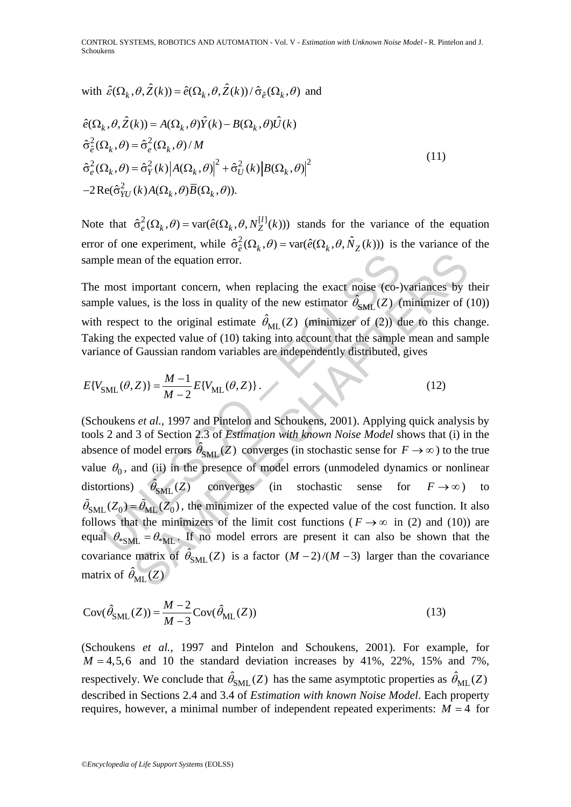with 
$$
\hat{\varepsilon}(\Omega_k, \theta, \hat{Z}(k)) = \hat{e}(\Omega_k, \theta, \hat{Z}(k))/\hat{\sigma}_{\hat{e}}(\Omega_k, \theta)
$$
 and

$$
\hat{e}(\Omega_k, \theta, \hat{Z}(k)) = A(\Omega_k, \theta)\hat{Y}(k) - B(\Omega_k, \theta)\hat{U}(k)
$$
  
\n
$$
\hat{\sigma}_{\hat{\epsilon}}^2(\Omega_k, \theta) = \hat{\sigma}_{\epsilon}^2(\Omega_k, \theta)/M
$$
  
\n
$$
\hat{\sigma}_{\epsilon}^2(\Omega_k, \theta) = \hat{\sigma}_{\gamma}^2(k)|A(\Omega_k, \theta)|^2 + \hat{\sigma}_{\omega}^2(k)|B(\Omega_k, \theta)|^2
$$
  
\n
$$
-2\operatorname{Re}(\hat{\sigma}_{\gamma\omega}^2(k)A(\Omega_k, \theta)\overline{B}(\Omega_k, \theta)).
$$
\n(11)

Note that  $\hat{\sigma}_e^2(\Omega_k, \theta) = \text{var}(\hat{e}(\Omega_k, \theta, N_Z^{[l]}(k)))$  stands for the variance of the equation error of one experiment, while  $\hat{\sigma}_{\hat{e}}^2(\Omega_k, \theta) = \text{var}(\hat{e}(\Omega_k, \theta, \hat{N}_Z(k)))$  is the variance of the sample mean of the equation error.

The most important concern, when replacing the exact noise (co-)variances by their sample values, is the loss in quality of the new estimator  $\hat{\theta}_{SML}(Z)$  (minimizer of (10)) with respect to the original estimate  $\hat{\theta}_{ML}(Z)$  (minimizer of (2)) due to this change. Taking the expected value of (10) taking into account that the sample mean and sample variance of Gaussian random variables are independently distributed, gives

$$
E\{V_{\text{SML}}(\theta, Z)\} = \frac{M-1}{M-2} E\{V_{\text{ML}}(\theta, Z)\}.
$$
 (12)

ple mean of the equation error.<br>
most important concern, when replacing the exact noise (co-)<br>
ple values, is the loss in quality of the new estimator  $\hat{\theta}_{SML}(Z)$  (<br>
1 respect to the original estimate  $\hat{\theta}_{ML}(Z)$  (minimi an of the equation error.<br>
important concern, when replacing the exact noise (eo-)variances by<br>
ues, is the loss in quality of the new estimator  $\hat{\theta}_{SML}(Z)$  (minimizer of (<br>
to the original estimate  $\hat{\theta}_{ML}(Z)$  (minimize (Schoukens *et al.,* 1997 and Pintelon and Schoukens, 2001). Applying quick analysis by tools 2 and 3 of Section 2.3 of *Estimation with known Noise Model* shows that (i) in the absence of model errors  $\hat{\theta}_{SML}(Z)$  converges (in stochastic sense for  $F \to \infty$ ) to the true value  $\theta_0$ , and (ii) in the presence of model errors (unmodeled dynamics or nonlinear distortions)  $\hat{\theta}_{SML}(Z)$  converges (in stochastic sense for  $F \to \infty$ ) to  $\tilde{\theta}_{\rm SML}$  (Z<sub>0</sub>) =  $\tilde{\theta}_{\rm ML}$  (Z<sub>0</sub>), the minimizer of the expected value of the cost function. It also follows that the minimizers of the limit cost functions ( $F \rightarrow \infty$  in (2) and (10)) are equal  $\theta_{\text{m}} = \theta_{\text{m}}$ . If no model errors are present it can also be shown that the covariance matrix of  $\hat{\theta}_{SML}(Z)$  is a factor  $(M-2)/(M-3)$  larger than the covariance matrix of  $\hat{\theta}_{ML}(Z)$ 

$$
Cov(\hat{\theta}_{SML}(Z)) = \frac{M-2}{M-3} Cov(\hat{\theta}_{ML}(Z))
$$
\n(13)

(Schoukens *et al.,* 1997 and Pintelon and Schoukens, 2001). For example, for  $M = 4,5,6$  and 10 the standard deviation increases by 41%, 22%, 15% and 7%, respectively. We conclude that  $\hat{\theta}_{SML}(Z)$  has the same asymptotic properties as  $\hat{\theta}_{ML}(Z)$ described in Sections 2.4 and 3.4 of *Estimation with known Noise Model*. Each property requires, however, a minimal number of independent repeated experiments:  $M = 4$  for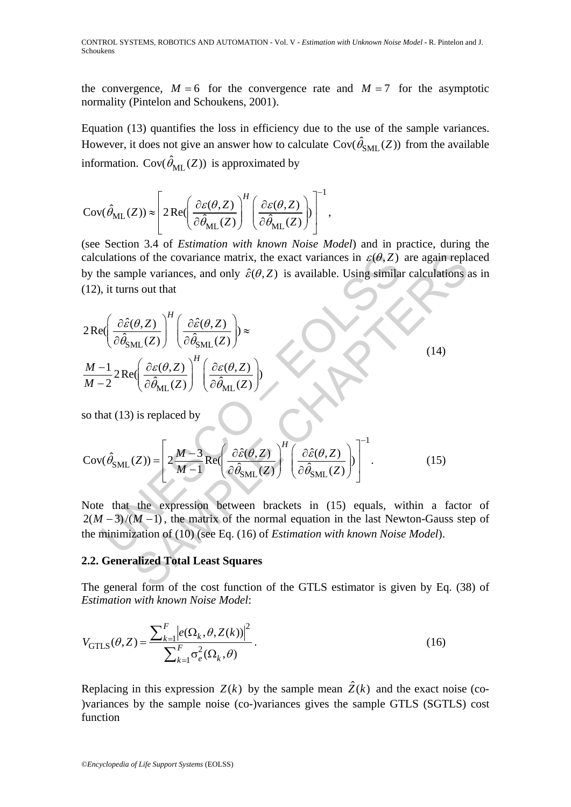the convergence,  $M = 6$  for the convergence rate and  $M = 7$  for the asymptotic normality (Pintelon and Schoukens, 2001).

Equation (13) quantifies the loss in efficiency due to the use of the sample variances. However, it does not give an answer how to calculate  $Cov(\hat{\theta}_{SMI}(Z))$  from the available information. Cov( $\hat{\theta}_{ML}(Z)$ ) is approximated by

$$
Cov(\hat{\theta}_{ML}(Z)) \approx \left[2 \text{Re} \left(\frac{\partial \varepsilon(\theta, Z)}{\partial \hat{\theta}_{ML}(Z)}\right)^H \left(\frac{\partial \varepsilon(\theta, Z)}{\partial \hat{\theta}_{ML}(Z)}\right)\right]^{-1},
$$

(see Section 3.4 of *Estimation with known Noise Model*) and in practice, during the calculations of the covariance matrix, the exact variances in  $\varepsilon(\theta, Z)$  are again replaced by the sample variances, and only  $\hat{\varepsilon}(\theta, Z)$  is available. Using similar calculations as in (12), it turns out that

calculations of the covariance matrix, the exact variances in 
$$
\varepsilon(\theta, Z)
$$
 are again repl  
by the sample variances, and only  $\hat{\varepsilon}(\theta, Z)$  is available. Using similar calculations  
(12), it turns out that  

$$
2\text{Re}\left(\frac{\partial \hat{\varepsilon}(\theta, Z)}{\partial \hat{\theta}_{\text{SML}}(Z)}\right)^H \left(\frac{\partial \hat{\varepsilon}(\theta, Z)}{\partial \hat{\theta}_{\text{ML}}(Z)}\right) \approx
$$
(14)  

$$
\frac{M-1}{M-2} 2\text{Re}\left(\frac{\partial \varepsilon(\theta, Z)}{\partial \hat{\theta}_{\text{ML}}(Z)}\right)^H \left(\frac{\partial \varepsilon(\theta, Z)}{\partial \hat{\theta}_{\text{ML}}(Z)}\right)
$$
(15)  
so that (13) is replaced by  

$$
\text{Cov}(\hat{\theta}_{\text{SML}}(Z)) = \left[2\frac{M-3}{M-1} \text{Re}\left(\frac{\partial \hat{\varepsilon}(\theta, Z)}{\partial \hat{\theta}_{\text{SML}}(Z)}\right)^H \left(\frac{\partial \hat{\varepsilon}(\theta, Z)}{\partial \hat{\theta}_{\text{SML}}(Z)}\right)\right]^{-1}.
$$
(15)  
Note that the expression between brackets in (15) equals, within a factor  
2(M-3)/(M-1), the matrix of the normal equation in the last Newton-Gauss set  
the minimization of (10) (see Eq. (16) of *Estimation with known Noise Model*).  
2.2. Generalized Total Least Squares  
The general form of the cost function of the GTI S estimator is given by Eq. (38)

so that (13) is replaced by

$$
Cov(\hat{\theta}_{SML}(Z)) = \left[ 2 \frac{M-3}{M-1} Re \left( \frac{\partial \hat{\varepsilon}(\theta, Z)}{\partial \hat{\theta}_{SML}(Z)} \right)^H \left( \frac{\partial \hat{\varepsilon}(\theta, Z)}{\partial \hat{\theta}_{SML}(Z)} \right) \right]^{-1}.
$$
 (15)

Note that the expression between brackets in (15) equals, within a factor of  $2(M-3)/(M-1)$ , the matrix of the normal equation in the last Newton-Gauss step of the minimization of (10) (see Eq. (16) of *Estimation with known Noise Model*).

### **2.2. Generalized Total Least Squares**

The general form of the cost function of the GTLS estimator is given by Eq. (38) of *Estimation with known Noise Model*:

$$
V_{\text{GTLS}}(\theta, Z) = \frac{\sum_{k=1}^{F} |e(\Omega_k, \theta, Z(k))|^2}{\sum_{k=1}^{F} \sigma_e^2(\Omega_k, \theta)}.
$$
\n(16)

Replacing in this expression  $Z(k)$  by the sample mean  $\hat{Z}(k)$  and the exact noise (co-)variances by the sample noise (co-)variances gives the sample GTLS (SGTLS) cost function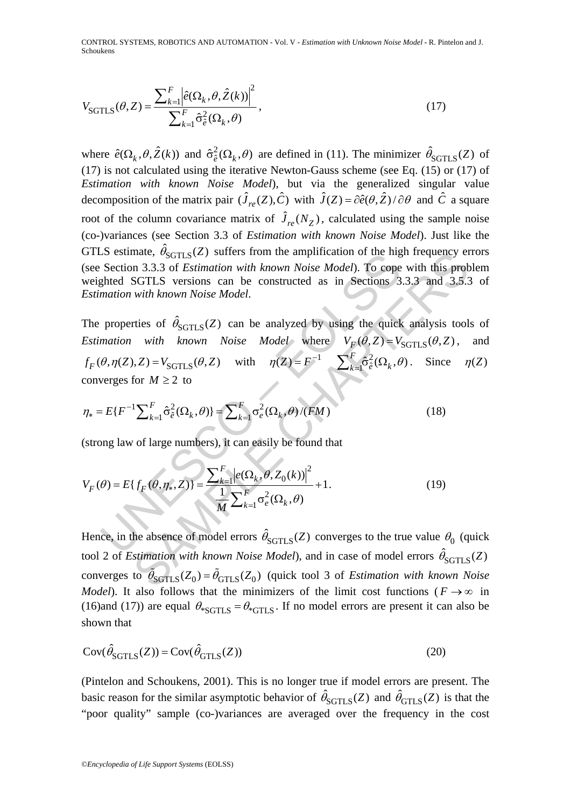CONTROL SYSTEMS, ROBOTICS AND AUTOMATION - Vol. V - *Estimation with Unknown Noise Model* **-** R. Pintelon and J. Schoukens

$$
V_{\text{SGTLS}}(\theta, Z) = \frac{\sum_{k=1}^{F} \left| \hat{e}(\Omega_k, \theta, \hat{Z}(k)) \right|^2}{\sum_{k=1}^{F} \hat{\sigma}_{\hat{e}}^2(\Omega_k, \theta)},
$$
\n(17)

where  $\hat{e}(\Omega_k, \theta, \hat{Z}(k))$  and  $\hat{\sigma}_{\hat{e}}^2(\Omega_k, \theta)$  are defined in (11). The minimizer  $\hat{\theta}_{SGTLS}(Z)$  of (17) is not calculated using the iterative Newton-Gauss scheme (see Eq. (15) or (17) of *Estimation with known Noise Model*), but via the generalized singular value decomposition of the matrix pair  $(\hat{J}_{re}(Z), \hat{C})$  with  $\hat{J}(Z) = \partial \hat{e}(\theta, \hat{Z}) / \partial \theta$  and  $\hat{C}$  a square root of the column covariance matrix of  $\hat{J}_{re}(N_Z)$ , calculated using the sample noise (co-)variances (see Section 3.3 of *Estimation with known Noise Model*). Just like the GTLS estimate,  $\hat{\theta}_{SGTLS}(Z)$  suffers from the amplification of the high frequency errors (see Section 3.3.3 of *Estimation with known Noise Model*). To cope with this problem weighted SGTLS versions can be constructed as in Sections 3.3.3 and 3.5.3 of *Estimation with known Noise Model*.

Let us the absence of model errors  $\hat{\theta}_{SGTLS}(Q_k, \theta)$ <br>
Depend and the absence of model errors  $\hat{\theta}_{SGTLS}(Q_k, \theta)$ <br>
Depend to the absence of  $\hat{\theta}_{SGTLS}(Z)$  can be analyzed by using the quick<br>
properties of  $\hat{\theta}_{SGTLS}(Z)$  can be mate,  $\theta_{\text{SGTLS}}(Z)$  surfers from the ampimication of the figure prequency et<br>
and 3.3.3 of *Estimation with known Noise Model*). To cope with this prob<br>
SGTLS versions can be constructed as in Sections 3.3.3 and 3.5.2<br> The properties of  $\hat{\theta}_{SGTLS}(Z)$  can be analyzed by using the quick analysis tools of *Estimation with known Noise Model* where  $V_F(\theta, Z) = V_{SGTLS}(\theta, Z)$ , and  $S_f(\theta, \eta(Z), Z) = V_{\text{SGTLS}}(\theta, Z)$  with  $\eta(Z) = F^{-1} \sum_{k=1}^F \hat{\sigma}_\theta^2(\Omega_k, \theta)$ . Since  $\eta(Z)$ converges for  $M \geq 2$  to

$$
\eta_* = E\{F^{-1}\sum_{k=1}^F \hat{\sigma}_e^2(\Omega_k, \theta)\} = \sum_{k=1}^F \sigma_e^2(\Omega_k, \theta) / (FM)
$$
\n(18)

(strong law of large numbers), it can easily be found that

$$
V_F(\theta) = E\{f_F(\theta, \eta_*, Z)\} = \frac{\sum_{k=1}^F \left|e(\Omega_k, \theta, Z_0(k))\right|^2}{\frac{1}{M} \sum_{k=1}^F \sigma_e^2(\Omega_k, \theta)} + 1.
$$
 (19)

Hence, in the absence of model errors  $\hat{\theta}_{SGTLS}(Z)$  converges to the true value  $\theta_0$  (quick tool 2 of *Estimation with known Noise Model*), and in case of model errors  $\hat{\theta}_{SGTLS}(Z)$ converges to  $\tilde{\theta}_{SGTLS}(Z_0) = \tilde{\theta}_{GTLS}(Z_0)$  (quick tool 3 of *Estimation with known Noise Model*). It also follows that the minimizers of the limit cost functions ( $F \rightarrow \infty$  in (16)and (17)) are equal  $\theta_{\text{ssGTLS}} = \theta_{\text{sgTLS}}$ . If no model errors are present it can also be shown that

$$
Cov(\hat{\theta}_{SGTLS}(Z)) = Cov(\hat{\theta}_{GTLS}(Z))
$$
\n(20)

(Pintelon and Schoukens, 2001). This is no longer true if model errors are present. The basic reason for the similar asymptotic behavior of  $\hat{\theta}_{SGTLS}(Z)$  and  $\hat{\theta}_{GTLS}(Z)$  is that the "poor quality" sample (co-)variances are averaged over the frequency in the cost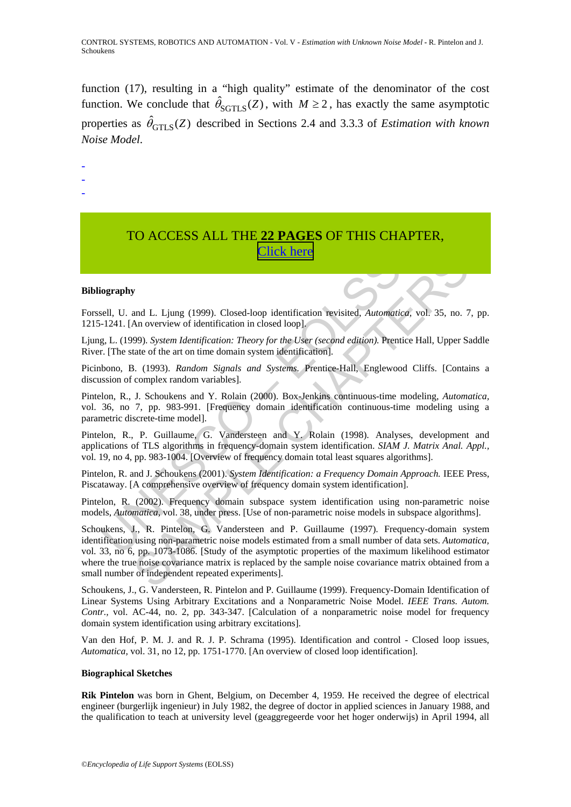function (17), resulting in a "high quality" estimate of the denominator of the cost function. We conclude that  $\hat{\theta}_{SGTLS}(Z)$ , with  $M \geq 2$ , has exactly the same asymptotic properties as  $\hat{\theta}_{GTLS}(Z)$  described in Sections 2.4 and 3.3.3 of *Estimation with known Noise Model*.

- -
- -

# TO ACCESS ALL THE **22 PAGES** OF THIS CHAPTER, [Click here](http://www.eolss.net/Eolss-sampleAllChapter.aspx)

#### **Bibliography**

Forssell, U. and L. Ljung (1999). Closed-loop identification revisited, *Automatica,* vol. 35, no. 7, pp. 1215-1241. [An overview of identification in closed loop].

Ljung, L. (1999). *System Identification: Theory for the User (second edition).* Prentice Hall, Upper Saddle River. [The state of the art on time domain system identification].

Picinbono, B. (1993). *Random Signals and Systems.* Prentice-Hall, Englewood Cliffs. [Contains a discussion of complex random variables].

**CHONA TRACK SET CONTIGER (EXECUTE:**<br>
Sell, U. and L. Ljung (1999). Closed-loop identification revisited, Automatic<br>
1-1241. [An overview of identification in closed loop].<br>
g. L. (1999). System Identification: Theory for Pintelon, R., J. Schoukens and Y. Rolain (2000). Box-Jenkins continuous-time modeling, *Automatica,* vol. 36, no 7, pp. 983-991. [Frequency domain identification continuous-time modeling using a parametric discrete-time model].

Pintelon, R., P. Guillaume, G. Vandersteen and Y. Rolain (1998). Analyses, development and applications of TLS algorithms in frequency-domain system identification. *SIAM J. Matrix Anal. Appl.,* vol. 19, no 4, pp. 983-1004. [Overview of frequency domain total least squares algorithms].

Pintelon, R. and J. Schoukens (2001). *System Identification: a Frequency Domain Approach.* IEEE Press, Piscataway. [A comprehensive overview of frequency domain system identification].

Pintelon, R. (2002). Frequency domain subspace system identification using non-parametric noise models, *Automatica,* vol. 38, under press. [Use of non-parametric noise models in subspace algorithms].

**EXERCT CONSUMERED**<br> **SAMPLE CAST CONSECT AND CONSECT ANOTEST CONSECT ANOTEST CONSECT AND VERTICAL CONSECT AND VERTICAL CONSECT (FOR THE USE CAST AND VERTICAL CONSECT THEORY OF the USE CAST AND MONDING CONSECT (FOR THE US** Schoukens, J., R. Pintelon, G. Vandersteen and P. Guillaume (1997). Frequency-domain system identification using non-parametric noise models estimated from a small number of data sets. *Automatica,* vol. 33, no 6, pp. 1073-1086. [Study of the asymptotic properties of the maximum likelihood estimator where the true noise covariance matrix is replaced by the sample noise covariance matrix obtained from a small number of independent repeated experiments].

Schoukens, J., G. Vandersteen, R. Pintelon and P. Guillaume (1999). Frequency-Domain Identification of Linear Systems Using Arbitrary Excitations and a Nonparametric Noise Model. *IEEE Trans. Autom. Contr.,* vol. AC-44, no. 2, pp. 343-347. [Calculation of a nonparametric noise model for frequency domain system identification using arbitrary excitations].

Van den Hof, P. M. J. and R. J. P. Schrama (1995). Identification and control - Closed loop issues, *Automatica,* vol. 31, no 12, pp. 1751-1770. [An overview of closed loop identification].

#### **Biographical Sketches**

**Rik Pintelon** was born in Ghent, Belgium, on December 4, 1959. He received the degree of electrical engineer (burgerlijk ingenieur) in July 1982, the degree of doctor in applied sciences in January 1988, and the qualification to teach at university level (geaggregeerde voor het hoger onderwijs) in April 1994, all